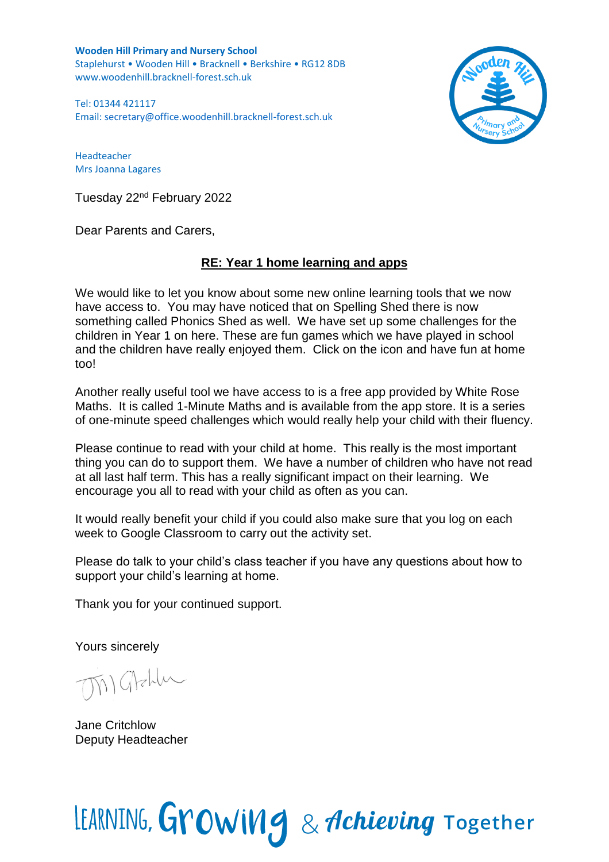**Wooden Hill Primary and Nursery School** Staplehurst • Wooden Hill • Bracknell • Berkshire • RG12 8DB www.woodenhill.bracknell-forest.sch.uk

Tel: 01344 421117 Email: [secretary@office.woodenhill.bracknell-forest.sch.uk](mailto:secretary@office.woodenhill.bracknell-forest.sch.uk)



Headteacher Mrs Joanna Lagares

Tuesday 22nd February 2022

Dear Parents and Carers,

## **RE: Year 1 home learning and apps**

We would like to let you know about some new online learning tools that we now have access to. You may have noticed that on Spelling Shed there is now something called Phonics Shed as well. We have set up some challenges for the children in Year 1 on here. These are fun games which we have played in school and the children have really enjoyed them. Click on the icon and have fun at home too!

Another really useful tool we have access to is a free app provided by White Rose Maths. It is called 1-Minute Maths and is available from the app store. It is a series of one-minute speed challenges which would really help your child with their fluency.

Please continue to read with your child at home. This really is the most important thing you can do to support them. We have a number of children who have not read at all last half term. This has a really significant impact on their learning. We encourage you all to read with your child as often as you can.

It would really benefit your child if you could also make sure that you log on each week to Google Classroom to carry out the activity set.

Please do talk to your child's class teacher if you have any questions about how to support your child's learning at home.

Thank you for your continued support.

Yours sincerely

Matchlu

Jane Critchlow Deputy Headteacher

## LEARNING, Growing & Achieving Together